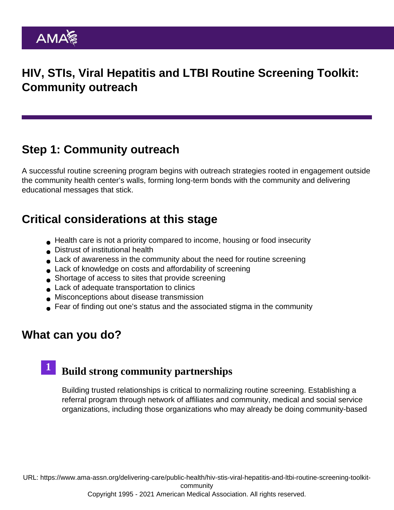# HIV, STIs, Viral Hepatitis and LTBI Routine Screening Toolkit: Community outreach

## Step 1: Community outreach

A successful routine screening program begins with outreach strategies rooted in engagement outside the community health center's walls, forming long-term bonds with the community and delivering educational messages that stick.

## Critical considerations at this stage

- Health care is not a priority compared to income, housing or food insecurity
- Distrust of institutional health
- Lack of awareness in the community about the need for routine screening
- Lack of knowledge on costs and affordability of screening
- Shortage of access to sites that provide screening
- **Lack of adequate transportation to clinics**
- Misconceptions about disease transmission
- Fear of finding out one's status and the associated stigma in the community

## What can you do?

#### Build strong community partnerships 1

Building trusted relationships is critical to normalizing routine screening. Establishing a referral program through network of affiliates and community, medical and social service organizations, including those organizations who may already be doing community-based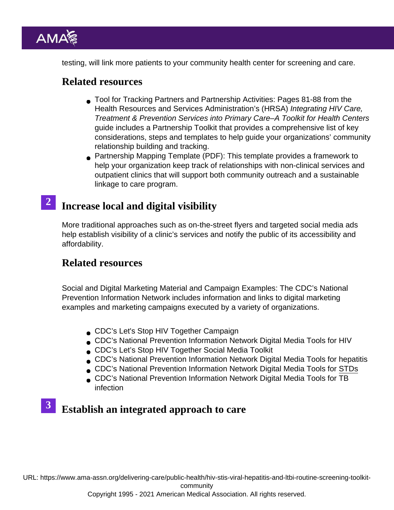testing, will link more patients to your community health center for screening and care.

### Related resources

- [Tool for Tracking Partners and Partnership Activities:](https://bphc.hrsa.gov/media/p4c-toolkit-2018.pdf) Pages 81-88 from the Health Resources and Services Administration's (HRSA) Integrating HIV Care, Treatment & Prevention Services into Primary Care–A Toolkit for Health Centers guide includes a Partnership Toolkit that provides a comprehensive list of key considerations, steps and templates to help guide your organizations' community relationship building and tracking.
- [Partnership Mapping Template](https://www.ama-assn.org/system/files/partnership-mapping-template.pdf) (PDF): This template provides a framework to help your organization keep track of relationships with non-clinical services and outpatient clinics that will support both community outreach and a sustainable linkage to care program.

# 2 Increase local and digital visibility

More traditional approaches such as on-the-street flyers and targeted social media ads help establish visibility of a clinic's services and notify the public of its accessibility and affordability.

### Related resources

Social and Digital Marketing Material and Campaign Examples: The [CDC's National](https://npin.cdc.gov/search/campaign) [Prevention Information Network](https://npin.cdc.gov/search/campaign) includes information and links to digital marketing examples and marketing campaigns executed by a variety of organizations.

- [CDC's Let's Stop HIV Together Campaign](https://www.cdc.gov/stophivtogether/index.html)
- [CDC's National Prevention Information Network Digital Media Tools for HIV](https://npin.cdc.gov/digital-media-tools/hiv)
- [CDC's Let's Stop HIV Together Social Media Toolkit](https://www.cdc.gov/stophivtogether/partnerships/social-media-toolkit.html)
- [CDC's National Prevention Information Network Digital Media Tools for hepatitis](https://npin.cdc.gov/digital-media-tools/hepatitis)
- [CDC's National Prevention Information Network Digital Media Tools for STDs](https://npin.cdc.gov/digital-media-tools/std)
- [CDC's National Prevention Information Network Digital Media Tools for TB](https://npin.cdc.gov/digital-media-tools/tb) [infection](https://npin.cdc.gov/digital-media-tools/tb)

# **3** Establish an integrated approach to care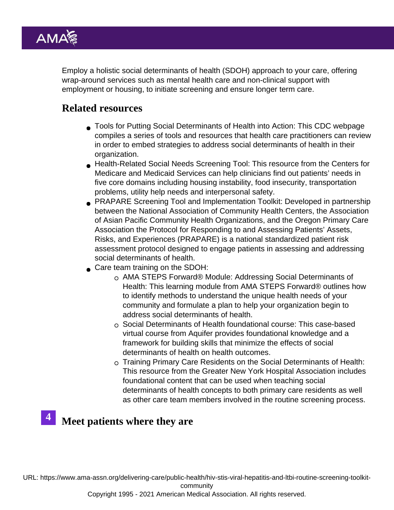Employ a holistic social determinants of health (SDOH) approach to your care, offering wrap-around services such as mental health care and non-clinical support with employment or housing, to initiate screening and ensure longer term care.

## Related resources

- [Tools for Putting Social Determinants of Health into Action](https://www.cdc.gov/socialdeterminants/tools/index.htm): This CDC webpage compiles a series of tools and resources that health care practitioners can review in order to embed strategies to address social determinants of health in their organization.
- [Health-Related Social Needs Screening Tool](https://innovation.cms.gov/files/worksheets/ahcm-screeningtool.pdf): This resource from the Centers for Medicare and Medicaid Services can help clinicians find out patients' needs in five core domains including housing instability, food insecurity, transportation problems, utility help needs and interpersonal safety.
- [PRAPARE Screening Tool and Implementation Toolkit](http://www.prapare.org/): Developed in partnership between the National Association of Community Health Centers, the Association of Asian Pacific Community Health Organizations, and the Oregon Primary Care Association the Protocol for Responding to and Assessing Patients' Assets, Risks, and Experiences (PRAPARE) is a national standardized patient risk assessment protocol designed to engage patients in assessing and addressing social determinants of health.
- Care team training on the SDOH:
	- [AMA STEPS Forward® Module: Addressing Social Determinants of](https://edhub.ama-assn.org/steps-forward/module/2702762) [Health](https://edhub.ama-assn.org/steps-forward/module/2702762): This learning module from AMA STEPS Forward® outlines how to identify methods to understand the unique health needs of your community and formulate a plan to help your organization begin to address social determinants of health.
	- $\circ$  [Social Determinants of Health foundational course:](https://aquifer.org/courses/aquifer-culture-health-care/) This case-based virtual course from Aquifer provides foundational knowledge and a framework for building skills that minimize the effects of social determinants of health on health outcomes.
	- [Training Primary Care Residents on the Social Determinants of Health:](https://www.gnyha.org/tool/training-primary-care-residents-on-the-social-determinants-of-health/) This resource from the Greater New York Hospital Association includes foundational content that can be used when teaching social determinants of health concepts to both primary care residents as well as other care team members involved in the routine screening process.

# $4$  Meet patients where they are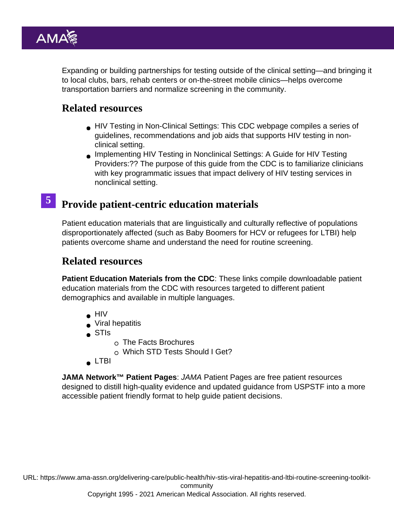Expanding or building partnerships for testing outside of the clinical setting—and bringing it to local clubs, bars, rehab centers or on-the-street mobile clinics—helps overcome transportation barriers and normalize screening in the community.

## Related resources

- [HIV Testing in Non-Clinical Settings](https://www.cdc.gov/hiv/testing/nonclinical/index.html): This CDC webpage compiles a series of guidelines, recommendations and job aids that supports HIV testing in nonclinical setting.
- [Implementing HIV Testing in Nonclinical Settings: A Guide for HIV Testing](https://www.cdc.gov/hiv/pdf/testing/CDC_HIV_Implementing_HIV_Testing_in_Nonclinical_Settings.pdf) [Providers:](https://www.cdc.gov/hiv/pdf/testing/CDC_HIV_Implementing_HIV_Testing_in_Nonclinical_Settings.pdf)?? The purpose of this guide from the CDC is to familiarize clinicians with key programmatic issues that impact delivery of HIV testing services in nonclinical setting.

# 5 Provide patient-centric education materials

Patient education materials that are linguistically and culturally reflective of populations disproportionately affected (such as Baby Boomers for HCV or refugees for LTBI) help patients overcome shame and understand the need for routine screening.

### Related resources

Patient Education Materials from the CDC : These links compile downloadable patient education materials from the CDC with resources targeted to different patient demographics and available in multiple languages.

- $\bullet$  [HIV](https://www.cdc.gov/hiv/library/consumer-info-sheets/index.html)
- [Viral hepatitis](https://www.cdc.gov/hepatitis/resources/patientedmaterials.htm)
- [STIs](https://www.cdc.gov/std/healthcomm/the-facts.htm)
- $\circ$  [The Facts Brochures](https://www.cdc.gov/std/healthcomm/the-facts.htm)
- [Which STD Tests Should I Get?](https://www.cdc.gov/std/prevention/screeningreccs.htm)
- **[LTBI](https://www.cdc.gov/tb/education/patient_edmaterials.htm)**

JAMA Network™ Patient Pages : JAMA Patient Pages are free patient resources designed to distill high-quality evidence and updated guidance from USPSTF into a more accessible patient friendly format to help guide patient decisions.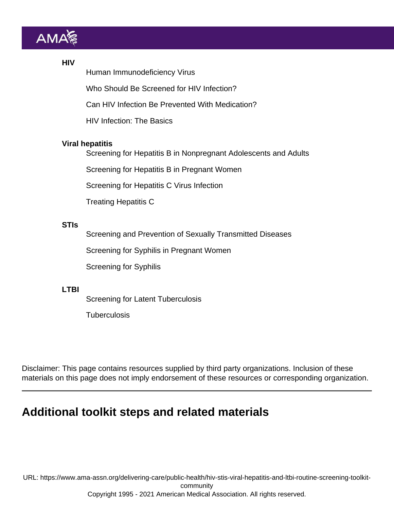#### **HIV**

[Human Immunodeficiency Virus](https://jamanetwork.com/journals/jama/fullarticle/2533069?resultClick=1)

[Who Should Be Screened for HIV Infection?](https://jamanetwork.com/journals/jama/fullarticle/2735342)

[Can HIV Infection Be Prevented With Medication?](https://jamanetwork.com/journals/jama/fullarticle/2735504?resultClick=1)

[HIV Infection: The Basics](https://jamanetwork.com/journals/jama/fullarticle/1221701?resultClick=1)

### Viral hepatitis

[Screening for Hepatitis B in Nonpregnant Adolescents and Adults](https://jamanetwork.com/journals/jama/fullarticle/2774051)

[Screening for Hepatitis B in Pregnant Women](https://jamanetwork.com/journals/jama/fullarticle/2738558)

[Screening for Hepatitis C Virus Infection](https://jamanetwork.com/journals/jama/fullarticle/2762184)

[Treating Hepatitis C](https://jamanetwork.com/journals/jama/fullarticle/2717476?resultClick=1)

### STIs

[Screening and Prevention of Sexually Transmitted Diseases](https://jamanetwork.com/journals/jama/fullarticle/193428?resultClick=1)

[Screening for Syphilis in Pregnant Women](https://jamanetwork.com/journals/jama/fullarticle/2698928?resultClick=1)

[Screening for Syphilis](https://jamanetwork.com/journals/jama/fullarticle/2526641?resultClick=1)

#### LTBI

[Screening for Latent Tuberculosis](https://jamanetwork.com/journals/jama/fullarticle/2547757?resultClick=1)

**[Tuberculosis](https://jamanetwork.com/journals/jama/fullarticle/1660384?resultClick=1)** 

Disclaimer: This page contains resources supplied by third party organizations. Inclusion of these materials on this page does not imply endorsement of these resources or corresponding organization.

## Additional toolkit steps and related materials

URL: [https://www.ama-assn.org/delivering-care/public-health/hiv-stis-viral-hepatitis-and-ltbi-routine-screening-toolkit](https://www.ama-assn.org/delivering-care/public-health/hiv-stis-viral-hepatitis-and-ltbi-routine-screening-toolkit-community)[community](https://www.ama-assn.org/delivering-care/public-health/hiv-stis-viral-hepatitis-and-ltbi-routine-screening-toolkit-community) Copyright 1995 - 2021 American Medical Association. All rights reserved.